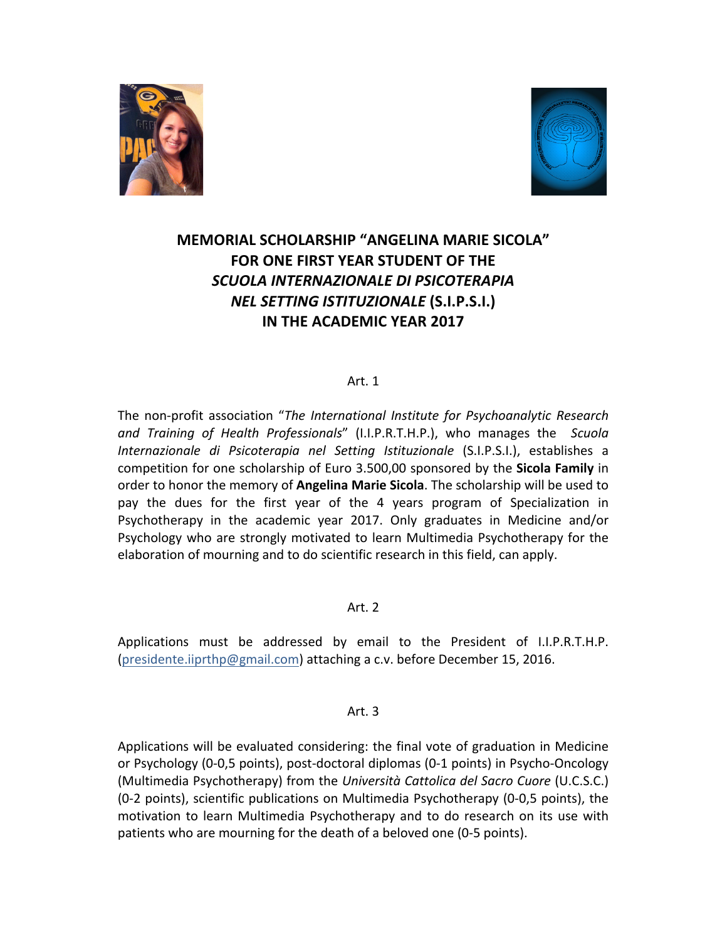



# **MEMORIAL SCHOLARSHIP "ANGELINA MARIE SICOLA" FOR ONE FIRST YEAR STUDENT OF THE** *SCUOLA INTERNAZIONALE DI PSICOTERAPIA NEL SETTING ISTITUZIONALE* **(S.I.P.S.I.) IN THE ACADEMIC YEAR 2017**

## $Art. 1$

The non-profit association "*The International Institute for Psychoanalytic Research and Training of Health Professionals*" (I.I.P.R.T.H.P.), who manages the *Scuola Internazionale di Psicoterapia nel Setting Istituzionale* (S.I.P.S.I.), establishes a competition for one scholarship of Euro 3.500,00 sponsored by the **Sicola Family** in order to honor the memory of **Angelina Marie Sicola**. The scholarship will be used to pay the dues for the first year of the 4 years program of Specialization in Psychotherapy in the academic year 2017. Only graduates in Medicine and/or Psychology who are strongly motivated to learn Multimedia Psychotherapy for the elaboration of mourning and to do scientific research in this field, can apply.

### Art. 2

Applications must be addressed by email to the President of I.I.P.R.T.H.P. (presidente.iiprthp@gmail.com) attaching a c.v. before December 15, 2016.

### Art. 3

Applications will be evaluated considering: the final vote of graduation in Medicine or Psychology (0-0,5 points), post-doctoral diplomas (0-1 points) in Psycho-Oncology (Multimedia Psychotherapy) from the *Università Cattolica del Sacro Cuore* (U.C.S.C.) (0-2 points), scientific publications on Multimedia Psychotherapy (0-0,5 points), the motivation to learn Multimedia Psychotherapy and to do research on its use with patients who are mourning for the death of a beloved one (0-5 points).